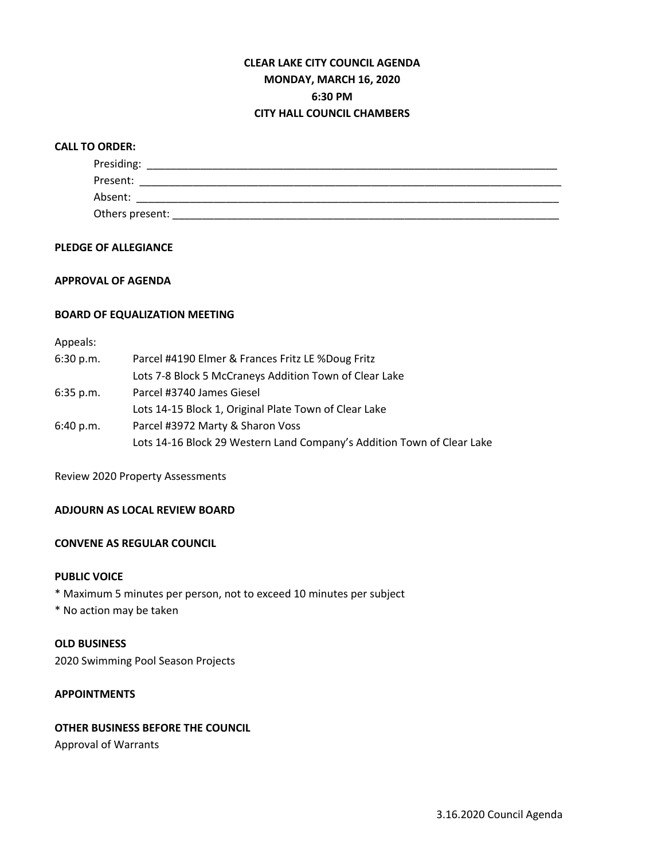# **CLEAR LAKE CITY COUNCIL AGENDA MONDAY, MARCH 16, 2020 6:30 PM CITY HALL COUNCIL CHAMBERS**

#### **CALL TO ORDER:**

| Presiding:      |  |  |
|-----------------|--|--|
| Present:        |  |  |
| Absent:         |  |  |
| Others present: |  |  |

## **PLEDGE OF ALLEGIANCE**

## **APPROVAL OF AGENDA**

#### **BOARD OF EQUALIZATION MEETING**

# Appeals:

| 6:30 p.m.   | Parcel #4190 Elmer & Frances Fritz LE %Doug Fritz                      |  |  |  |
|-------------|------------------------------------------------------------------------|--|--|--|
|             | Lots 7-8 Block 5 McCraneys Addition Town of Clear Lake                 |  |  |  |
| $6:35$ p.m. | Parcel #3740 James Giesel                                              |  |  |  |
|             | Lots 14-15 Block 1, Original Plate Town of Clear Lake                  |  |  |  |
| 6:40 p.m.   | Parcel #3972 Marty & Sharon Voss                                       |  |  |  |
|             | Lots 14-16 Block 29 Western Land Company's Addition Town of Clear Lake |  |  |  |

Review 2020 Property Assessments

# **ADJOURN AS LOCAL REVIEW BOARD**

# **CONVENE AS REGULAR COUNCIL**

#### **PUBLIC VOICE**

\* Maximum 5 minutes per person, not to exceed 10 minutes per subject

\* No action may be taken

#### **OLD BUSINESS**

2020 Swimming Pool Season Projects

# **APPOINTMENTS**

#### **OTHER BUSINESS BEFORE THE COUNCIL**

Approval of Warrants